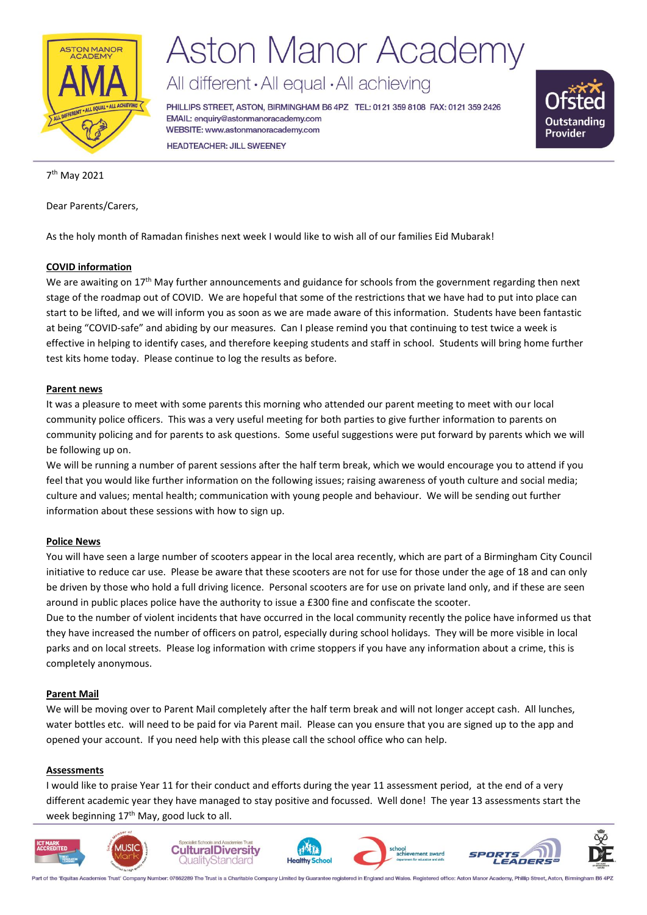

# **Aston Manor Academy**

All different · All equal · All achieving

PHILLIPS STREET, ASTON, BIRMINGHAM B6 4PZ TEL: 0121 359 8108 FAX: 0121 359 2426 EMAIL: enquiry@astonmanoracademy.com WEBSITE: www.astonmanoracademy.com **HEADTEACHER: JILL SWEENEY** 



7 th May 2021

Dear Parents/Carers,

As the holy month of Ramadan finishes next week I would like to wish all of our families Eid Mubarak!

# **COVID information**

We are awaiting on 17<sup>th</sup> May further announcements and guidance for schools from the government regarding then next stage of the roadmap out of COVID. We are hopeful that some of the restrictions that we have had to put into place can start to be lifted, and we will inform you as soon as we are made aware of this information. Students have been fantastic at being "COVID-safe" and abiding by our measures. Can I please remind you that continuing to test twice a week is effective in helping to identify cases, and therefore keeping students and staff in school. Students will bring home further test kits home today. Please continue to log the results as before.

### **Parent news**

It was a pleasure to meet with some parents this morning who attended our parent meeting to meet with our local community police officers. This was a very useful meeting for both parties to give further information to parents on community policing and for parents to ask questions. Some useful suggestions were put forward by parents which we will be following up on.

We will be running a number of parent sessions after the half term break, which we would encourage you to attend if you feel that you would like further information on the following issues; raising awareness of youth culture and social media; culture and values; mental health; communication with young people and behaviour. We will be sending out further information about these sessions with how to sign up.

#### **Police News**

You will have seen a large number of scooters appear in the local area recently, which are part of a Birmingham City Council initiative to reduce car use. Please be aware that these scooters are not for use for those under the age of 18 and can only be driven by those who hold a full driving licence. Personal scooters are for use on private land only, and if these are seen around in public places police have the authority to issue a £300 fine and confiscate the scooter.

Due to the number of violent incidents that have occurred in the local community recently the police have informed us that they have increased the number of officers on patrol, especially during school holidays. They will be more visible in local parks and on local streets. Please log information with crime stoppers if you have any information about a crime, this is completely anonymous.

# **Parent Mail**

We will be moving over to Parent Mail completely after the half term break and will not longer accept cash. All lunches, water bottles etc. will need to be paid for via Parent mail. Please can you ensure that you are signed up to the app and opened your account. If you need help with this please call the school office who can help.

#### **Assessments**

I would like to praise Year 11 for their conduct and efforts during the year 11 assessment period, at the end of a very different academic year they have managed to stay positive and focussed. Well done! The year 13 assessments start the week beginning 17<sup>th</sup> May, good luck to all.



Part of the 'Equitas Academies Trust' Company Number: 07662289 The Trust is a Charitable Company Limited by Guarantee registered in England and Wales. Registered office: Aston Manor Acad